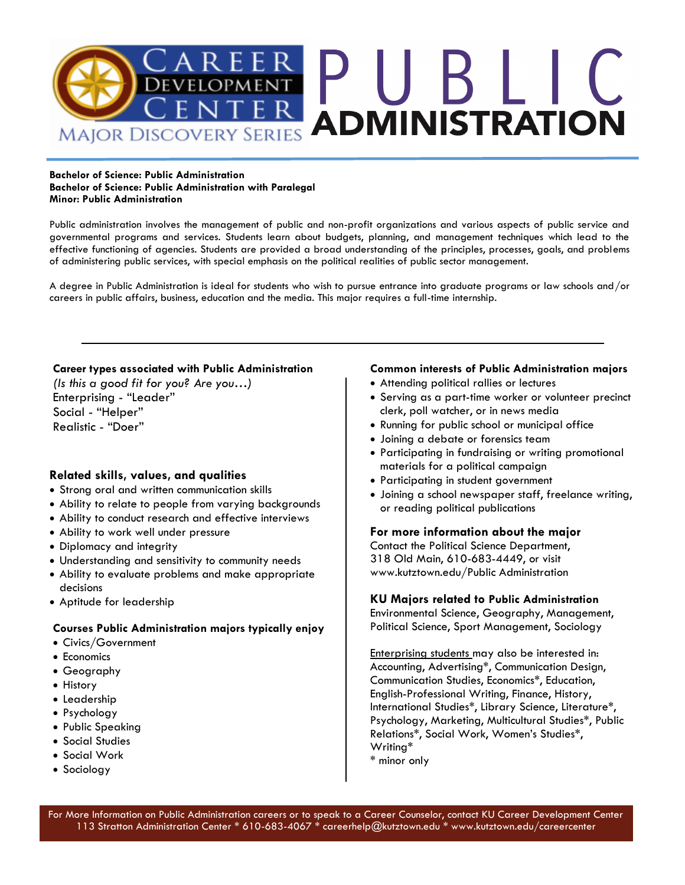

#### **Bachelor of Science: Public Administration Bachelor of Science: Public Administration with Paralegal Minor: Public Administration**

Public administration involves the management of public and non-profit organizations and various aspects of public service and governmental programs and services. Students learn about budgets, planning, and management techniques which lead to the effective functioning of agencies. Students are provided a broad understanding of the principles, processes, goals, and problems of administering public services, with special emphasis on the political realities of public sector management.

A degree in Public Administration is ideal for students who wish to pursue entrance into graduate programs or law schools and/or careers in public affairs, business, education and the media. This major requires a full-time internship.

### **Career types associated with Public Administration**

*(Is this a good fit for you? Are you…)* Enterprising - "Leader" Social - "Helper" Realistic - "Doer"

### **Related skills, values, and qualities**

- Strong oral and written communication skills
- Ability to relate to people from varying backgrounds
- Ability to conduct research and effective interviews
- Ability to work well under pressure
- Diplomacy and integrity
- Understanding and sensitivity to community needs
- Ability to evaluate problems and make appropriate decisions
- Aptitude for leadership

#### **Courses Public Administration majors typically enjoy**

- Civics/Government
- Economics
- Geography
- History
- Leadership
- Psychology
- Public Speaking
- Social Studies
- Social Work
- Sociology

### **Common interests of Public Administration majors**

- Attending political rallies or lectures
- Serving as a part-time worker or volunteer precinct clerk, poll watcher, or in news media
- Running for public school or municipal office
- Joining a debate or forensics team
- Participating in fundraising or writing promotional materials for a political campaign
- Participating in student government
- Joining a school newspaper staff, freelance writing, or reading political publications

#### **For more information about the major**

Contact the Political Science Department, 318 Old Main, 610-683-4449, or visit www.kutztown.edu/Public Administration

#### **KU Majors related to Public Administration**

Environmental Science, Geography, Management, Political Science, Sport Management, Sociology

Enterprising students may also be interested in: Accounting, Advertising\*, Communication Design, Communication Studies, Economics\*, Education, English-Professional Writing, Finance, History, International Studies\*, Library Science, Literature\*, Psychology, Marketing, Multicultural Studies\*, Public Relations\*, Social Work, Women's Studies\*, Writing\*

\* minor only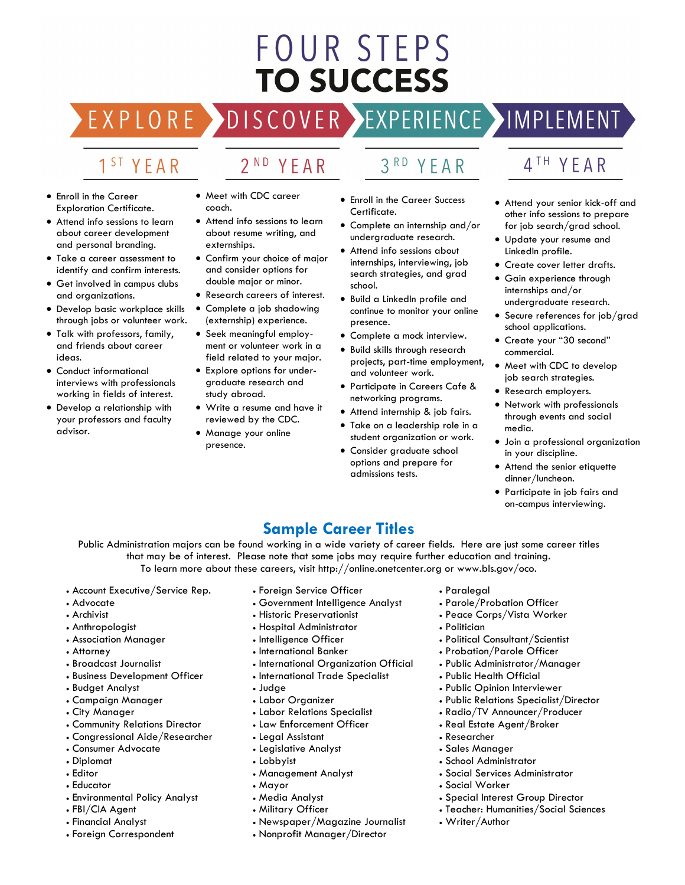# **FOUR STEPS TO SUCCESS**

# DISCOVER EXPERIENCE MOPLEMENT

2<sup>ND</sup> YEAR

## 1<sup>ST</sup> YEAR

EXPLORE >

- Enroll in the Career Exploration Certificate.
- Attend info sessions to learn about career development and personal branding.
- Take a career assessment to identify and confirm interests.
- Get involved in campus clubs and organizations.
- Develop basic workplace skills through jobs or volunteer work.
- Talk with professors, family, and friends about career ideas.
- Conduct informational interviews with professionals working in fields of interest.
- Develop a relationship with your professors and faculty advisor.
- Meet with CDC career coach.
- Attend info sessions to learn about resume writing, and externships.
- Confirm your choice of major and consider options for double major or minor.
- Research careers of interest. • Complete a job shadowing
- (externship) experience.
- Seek meaningful employment or volunteer work in a field related to your major.
- Explore options for undergraduate research and study abroad.
- Write a resume and have it reviewed by the CDC.
- Manage your online presence.

# 3RD YEAR

- Enroll in the Career Success Certificate.
- Complete an internship and/or undergraduate research.
- Attend info sessions about internships, interviewing, job search strategies, and grad school.
- Build a LinkedIn profile and continue to monitor your online presence.
- Complete a mock interview.
- Build skills through research projects, part-time employment, and volunteer work.
- Participate in Careers Cafe & networking programs.
- Attend internship & job fairs.
- Take on a leadership role in a student organization or work.
- Consider graduate school options and prepare for admissions tests.

## 4TH YEAR

- Attend your senior kick-off and other info sessions to prepare for job search/grad school.
- Update your resume and LinkedIn profile.
- Create cover letter drafts.
- Gain experience through internships and/or undergraduate research.
- Secure references for job/grad school applications.
- Create your "30 second" commercial.
- Meet with CDC to develop job search strategies.
- Research employers.
- Network with professionals through events and social media.
- Join a professional organization in your discipline.
- Attend the senior etiquette dinner/luncheon.
- Participate in job fairs and on-campus interviewing.

### **Sample Career Titles**

Public Administration majors can be found working in a wide variety of career fields. Here are just some career titles that may be of interest. Please note that some jobs may require further education and training. To learn more about these careers, visit http://online.onetcenter.org or www.bls.gov/oco.

- Account Executive/Service Rep.
- Advocate
- Archivist
- Anthropologist
- Association Manager
- Attorney
- Broadcast Journalist
- Business Development Officer
- Budget Analyst
- Campaign Manager
- City Manager
- Community Relations Director
- Congressional Aide/Researcher
- Consumer Advocate
- Diplomat
- Editor
- Educator
- Environmental Policy Analyst
- FBI/CIA Agent
- Financial Analyst
- Foreign Correspondent
- Foreign Service Officer
- Government Intelligence Analyst
- Historic Preservationist
- Hospital Administrator
- Intelligence Officer
- International Banker
- International Organization Official
- International Trade Specialist
- Judge
- Labor Organizer
- Labor Relations Specialist
- Law Enforcement Officer
- Legal Assistant
- Legislative Analyst
- Lobbyist
- Management Analyst
- Mayor
- Media Analyst
- Military Officer
- Newspaper/Magazine Journalist
- Nonprofit Manager/Director
- Paralegal
- Parole/Probation Officer
- Peace Corps/Vista Worker
- Politician

• Researcher • Sales Manager • School Administrator • Social Services Administrator

• Social Worker

• Writer/Author

- Political Consultant/Scientist
- Probation/Parole Officer
- Public Administrator/Manager
- Public Health Official
- Public Opinion Interviewer
- Public Relations Specialist/Director
- Radio/TV Announcer/Producer

• Special Interest Group Director • Teacher: Humanities/Social Sciences

• Real Estate Agent/Broker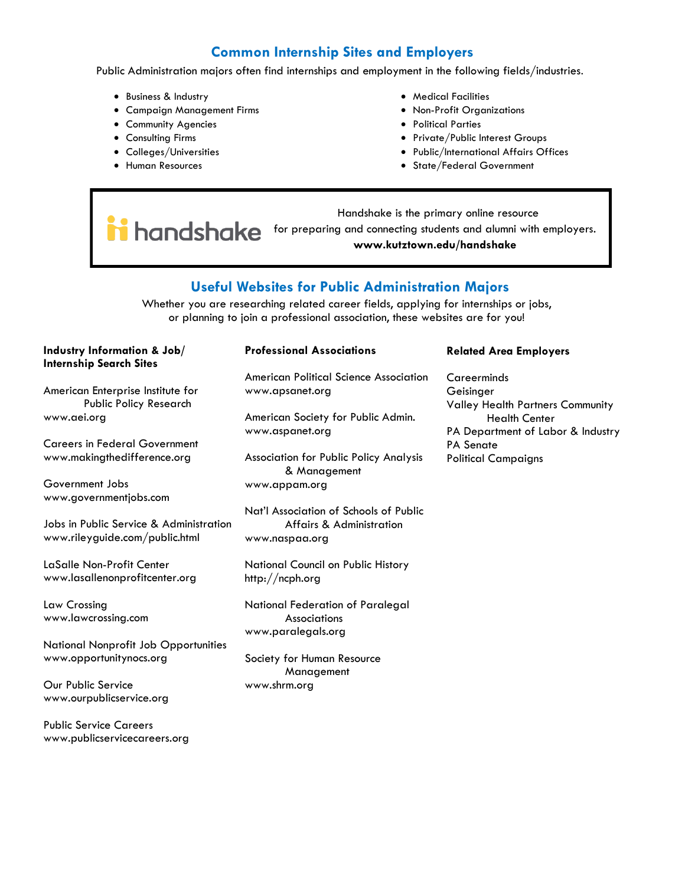### **Common Internship Sites and Employers**

Public Administration majors often find internships and employment in the following fields/industries.

- Business & Industry
- Campaign Management Firms
- Community Agencies
- Consulting Firms
- Colleges/Universities
- Human Resources
- Medical Facilities
- Non-Profit Organizations
- Political Parties
- Private/Public Interest Groups
- Public/International Affairs Offices
- State/Federal Government

 Handshake is the primary online resource **i** handshake for preparing and connecting students and alumni with employers. **www.kutztown.edu/handshake**

### **Useful Websites for Public Administration Majors**

Whether you are researching related career fields, applying for internships or jobs, or planning to join a professional association, these websites are for you!

### **Industry Information & Job/ Internship Search Sites**

American Enterprise Institute for Public Policy Research www.aei.org

Careers in Federal Government www.makingthedifference.org

Government Jobs www.governmentjobs.com

Jobs in Public Service & Administration www.rileyguide.com/public.html

LaSalle Non-Profit Center www.lasallenonprofitcenter.org

Law Crossing www.lawcrossing.com

National Nonprofit Job Opportunities www.opportunitynocs.org

Our Public Service www.ourpublicservice.org

Public Service Careers www.publicservicecareers.org

### **Professional Associations**

American Political Science Association www.apsanet.org

American Society for Public Admin. www.aspanet.org

Association for Public Policy Analysis & Management www.appam.org

Nat'l Association of Schools of Public Affairs & Administration www.naspaa.org

National Council on Public History http://ncph.org

National Federation of Paralegal **Associations** www.paralegals.org

Society for Human Resource Management www.shrm.org

#### **Related Area Employers**

Careerminds Geisinger Valley Health Partners Community Health Center PA Department of Labor & Industry PA Senate Political Campaigns